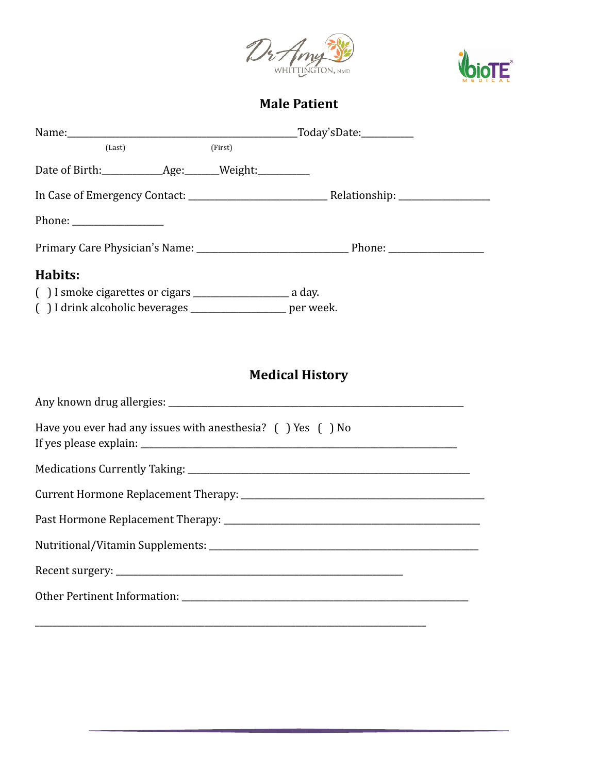



## **Male Patient**

|                                                             | $\lbrack \text{Today'sDate:}\rbrack$ |                        |  |
|-------------------------------------------------------------|--------------------------------------|------------------------|--|
| (Last)                                                      | (First)                              |                        |  |
|                                                             |                                      |                        |  |
|                                                             |                                      |                        |  |
| Phone: $\frac{1}{\sqrt{1-\frac{1}{2}}\cdot\frac{1}{2}}$     |                                      |                        |  |
|                                                             |                                      |                        |  |
| Habits:                                                     |                                      |                        |  |
|                                                             |                                      |                        |  |
| () I drink alcoholic beverages __________________ per week. |                                      |                        |  |
|                                                             |                                      |                        |  |
|                                                             |                                      | <b>Medical History</b> |  |

| Have you ever had any issues with anesthesia? ( ) Yes ( ) No |  |  |
|--------------------------------------------------------------|--|--|
|                                                              |  |  |
|                                                              |  |  |
|                                                              |  |  |
|                                                              |  |  |
|                                                              |  |  |
|                                                              |  |  |
|                                                              |  |  |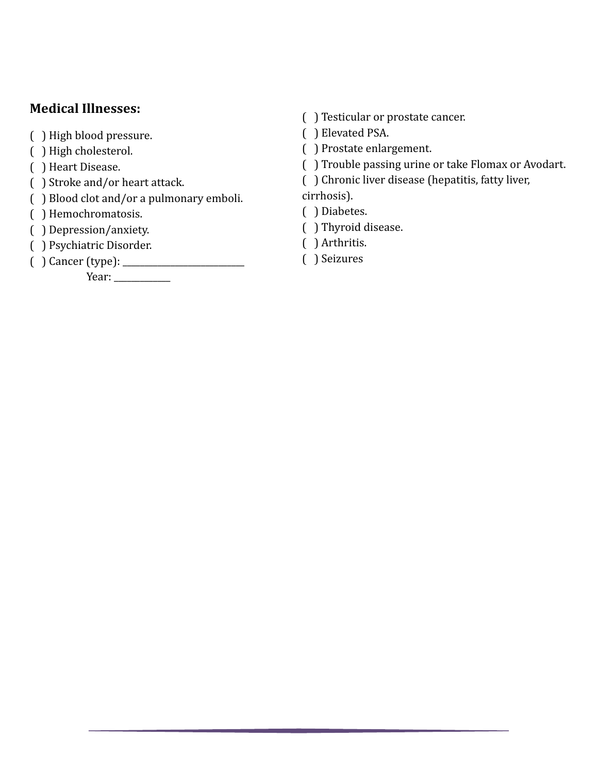## **Medical Illnesses:**

- ( ) High blood pressure.
- ( ) High cholesterol.
- ( ) Heart Disease.
- ( ) Stroke and/or heart attack.
- ( ) Blood clot and/or a pulmonary emboli.
- ( ) Hemochromatosis.
- ( ) Depression/anxiety.
- ( ) Psychiatric Disorder.
- ( ) Cancer (type): \_\_\_\_\_\_\_\_\_\_\_\_\_\_\_\_\_\_\_\_\_\_\_\_\_\_\_\_

 Year: \_\_\_\_\_\_\_\_\_\_\_\_\_

- ( ) Testicular or prostate cancer.
- ( ) Elevated PSA.
- ( ) Prostate enlargement.
- ( ) Trouble passing urine or take Flomax or Avodart.
- ( ) Chronic liver disease (hepatitis, fatty liver,

cirrhosis).

- ( ) Diabetes.
- ( ) Thyroid disease.
- ( ) Arthritis.
- ( ) Seizures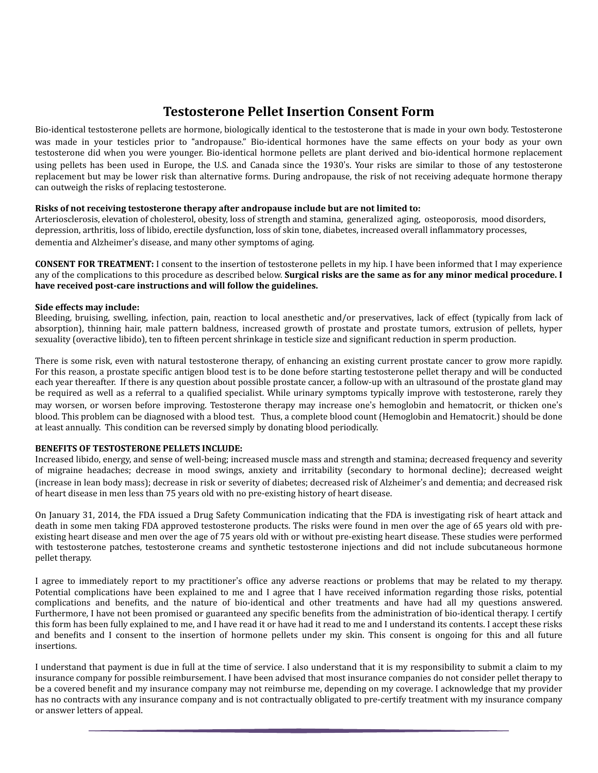## **Testosterone Pellet Insertion Consent Form**

Bio-identical testosterone pellets are hormone, biologically identical to the testosterone that is made in your own body. Testosterone was made in your testicles prior to "andropause." Bio-identical hormones have the same effects on your body as your own testosterone did when you were younger. Bio-identical hormone pellets are plant derived and bio-identical hormone replacement using pellets has been used in Europe, the U.S. and Canada since the 1930's. Your risks are similar to those of any testosterone replacement but may be lower risk than alternative forms. During andropause, the risk of not receiving adequate hormone therapy can outweigh the risks of replacing testosterone.

#### **Risks of not receiving testosterone therapy after andropause include but are not limited to:**

Arteriosclerosis, elevation of cholesterol, obesity, loss of strength and stamina, generalized aging, osteoporosis, mood disorders, depression, arthritis, loss of libido, erectile dysfunction, loss of skin tone, diabetes, increased overall inflammatory processes, dementia and Alzheimer's disease, and many other symptoms of aging.

**CONSENT FOR TREATMENT:** I consent to the insertion of testosterone pellets in my hip. I have been informed that I may experience any of the complications to this procedure as described below. **Surgical risks are the same as for any minor medical procedure.** I have received post-care instructions and will follow the guidelines.

#### Side effects may include:

Bleeding, bruising, swelling, infection, pain, reaction to local anesthetic and/or preservatives, lack of effect (typically from lack of absorption), thinning hair, male pattern baldness, increased growth of prostate and prostate tumors, extrusion of pellets, hyper sexuality (overactive libido), ten to fifteen percent shrinkage in testicle size and significant reduction in sperm production.

There is some risk, even with natural testosterone therapy, of enhancing an existing current prostate cancer to grow more rapidly. For this reason, a prostate specific antigen blood test is to be done before starting testosterone pellet therapy and will be conducted each year thereafter. If there is any question about possible prostate cancer, a follow-up with an ultrasound of the prostate gland may be required as well as a referral to a qualified specialist. While urinary symptoms typically improve with testosterone, rarely they may worsen, or worsen before improving. Testosterone therapy may increase one's hemoglobin and hematocrit, or thicken one's blood. This problem can be diagnosed with a blood test. Thus, a complete blood count (Hemoglobin and Hematocrit.) should be done at least annually. This condition can be reversed simply by donating blood periodically.

#### **BENEFITS OF TESTOSTERONE PELLETS INCLUDE:**

Increased libido, energy, and sense of well-being; increased muscle mass and strength and stamina; decreased frequency and severity of migraine headaches; decrease in mood swings, anxiety and irritability (secondary to hormonal decline); decreased weight (increase in lean body mass); decrease in risk or severity of diabetes; decreased risk of Alzheimer's and dementia; and decreased risk of heart disease in men less than 75 years old with no pre-existing history of heart disease.

On January 31, 2014, the FDA issued a Drug Safety Communication indicating that the FDA is investigating risk of heart attack and death in some men taking FDA approved testosterone products. The risks were found in men over the age of 65 years old with preexisting heart disease and men over the age of 75 years old with or without pre-existing heart disease. These studies were performed with testosterone patches, testosterone creams and synthetic testosterone injections and did not include subcutaneous hormone pellet therapy.

I agree to immediately report to my practitioner's office any adverse reactions or problems that may be related to my therapy. Potential complications have been explained to me and I agree that I have received information regarding those risks, potential complications and benefits, and the nature of bio-identical and other treatments and have had all my questions answered. Furthermore, I have not been promised or guaranteed any specific benefits from the administration of bio-identical therapy. I certify this form has been fully explained to me, and I have read it or have had it read to me and I understand its contents. I accept these risks and benefits and I consent to the insertion of hormone pellets under my skin. This consent is ongoing for this and all future insertions. 

I understand that payment is due in full at the time of service. I also understand that it is my responsibility to submit a claim to my insurance company for possible reimbursement. I have been advised that most insurance companies do not consider pellet therapy to be a covered benefit and my insurance company may not reimburse me, depending on my coverage. I acknowledge that my provider has no contracts with any insurance company and is not contractually obligated to pre-certify treatment with my insurance company or answer letters of appeal.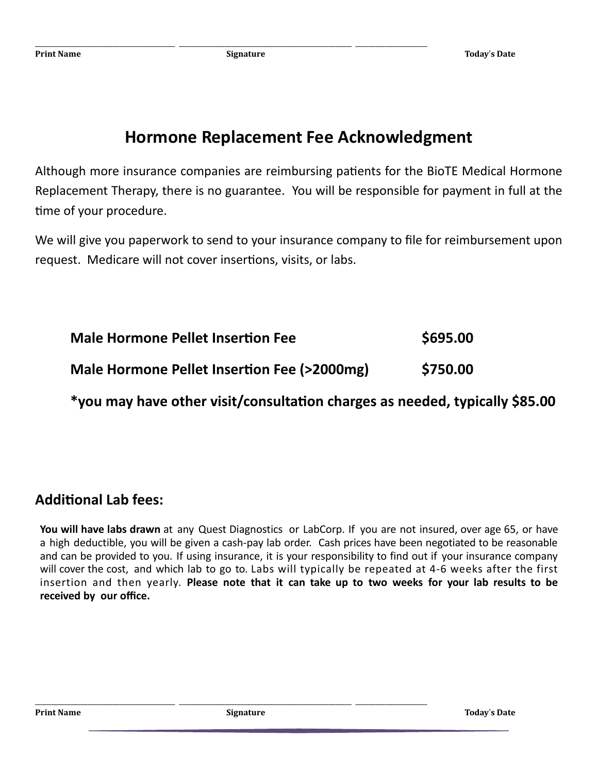\_\_\_\_\_\_\_\_\_\_\_\_\_\_\_\_\_\_\_\_\_\_\_\_\_\_\_\_\_\_\_\_\_\_\_\_\_\_\_\_\_\_\_ \_\_\_\_\_\_\_\_\_\_\_\_\_\_\_\_\_\_\_\_\_\_\_\_\_\_\_\_\_\_\_\_\_\_\_\_\_\_\_\_\_\_\_\_\_\_\_\_\_\_\_\_\_ \_\_\_\_\_\_\_\_\_\_\_\_\_\_\_\_\_\_\_\_\_\_

# **Hormone Replacement Fee Acknowledgment**

Although more insurance companies are reimbursing patients for the BioTE Medical Hormone Replacement Therapy, there is no guarantee. You will be responsible for payment in full at the time of your procedure.

We will give you paperwork to send to your insurance company to file for reimbursement upon request. Medicare will not cover insertions, visits, or labs.

| <b>Male Hormone Pellet Insertion Fee</b>                                    | \$695.00 |
|-----------------------------------------------------------------------------|----------|
| Male Hormone Pellet Insertion Fee (>2000mg)                                 | \$750.00 |
| *you may have other visit/consultation charges as needed, typically \$85.00 |          |

## **Additional Lab fees:**

**You will have labs drawn** at any Quest Diagnostics or LabCorp. If you are not insured, over age 65, or have a high deductible, you will be given a cash-pay lab order. Cash prices have been negotiated to be reasonable and can be provided to you. If using insurance, it is your responsibility to find out if your insurance company will cover the cost, and which lab to go to. Labs will typically be repeated at 4-6 weeks after the first insertion and then yearly. **Please note that it can take up to two weeks for your lab results to be received by our office.**

\_\_\_\_\_\_\_\_\_\_\_\_\_\_\_\_\_\_\_\_\_\_\_\_\_\_\_\_\_\_\_\_\_\_\_\_\_\_\_\_\_\_\_ \_\_\_\_\_\_\_\_\_\_\_\_\_\_\_\_\_\_\_\_\_\_\_\_\_\_\_\_\_\_\_\_\_\_\_\_\_\_\_\_\_\_\_\_\_\_\_\_\_\_\_\_\_ \_\_\_\_\_\_\_\_\_\_\_\_\_\_\_\_\_\_\_\_\_\_